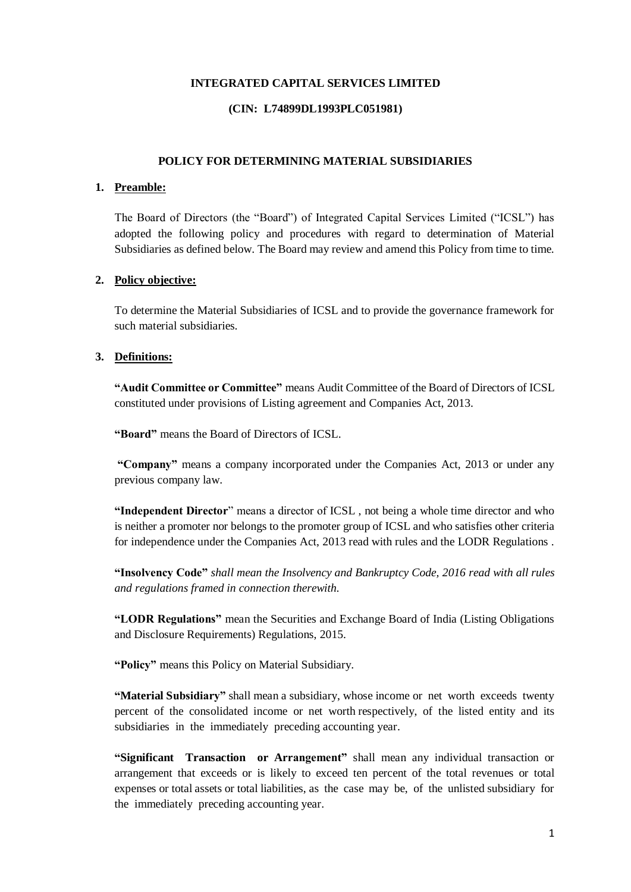## **INTEGRATED CAPITAL SERVICES LIMITED**

## **(CIN: L74899DL1993PLC051981)**

## **POLICY FOR DETERMINING MATERIAL SUBSIDIARIES**

#### **1. Preamble:**

The Board of Directors (the "Board") of Integrated Capital Services Limited ("ICSL") has adopted the following policy and procedures with regard to determination of Material Subsidiaries as defined below. The Board may review and amend this Policy from time to time.

#### **2. Policy objective:**

To determine the Material Subsidiaries of ICSL and to provide the governance framework for such material subsidiaries.

## **3. Definitions:**

**"Audit Committee or Committee"** means Audit Committee of the Board of Directors of ICSL constituted under provisions of Listing agreement and Companies Act, 2013.

**"Board"** means the Board of Directors of ICSL.

**"Company"** means a company incorporated under the Companies Act, 2013 or under any previous company law.

**"Independent Director**" means a director of ICSL , not being a whole time director and who is neither a promoter nor belongs to the promoter group of ICSL and who satisfies other criteria for independence under the Companies Act, 2013 read with rules and the LODR Regulations .

**"Insolvency Code"** *shall mean the Insolvency and Bankruptcy Code, 2016 read with all rules and regulations framed in connection therewith.*

**"LODR Regulations"** mean the Securities and Exchange Board of India (Listing Obligations and Disclosure Requirements) Regulations, 2015.

**"Policy"** means this Policy on Material Subsidiary.

**"Material Subsidiary"** shall mean a subsidiary, whose income or net worth exceeds twenty percent of the consolidated income or net worth respectively, of the listed entity and its subsidiaries in the immediately preceding accounting year.

**"Significant Transaction or Arrangement"** shall mean any individual transaction or arrangement that exceeds or is likely to exceed ten percent of the total revenues or total expenses or total assets or total liabilities, as the case may be, of the unlisted subsidiary for the immediately preceding accounting year.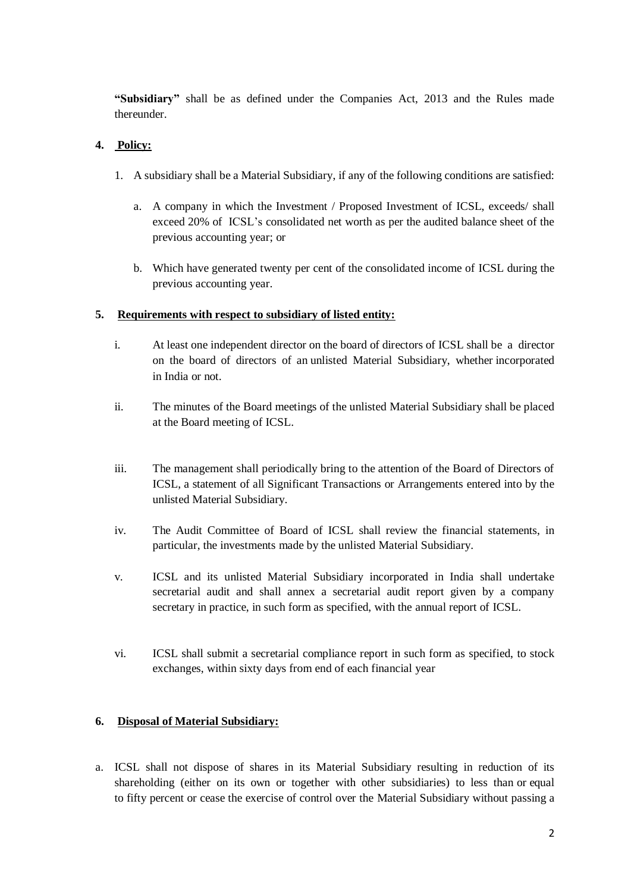**"Subsidiary"** shall be as defined under the Companies Act, 2013 and the Rules made thereunder.

# **4. Policy:**

- 1. A subsidiary shall be a Material Subsidiary, if any of the following conditions are satisfied:
	- a. A company in which the Investment / Proposed Investment of ICSL, exceeds/ shall exceed 20% of ICSL's consolidated net worth as per the audited balance sheet of the previous accounting year; or
	- b. Which have generated twenty per cent of the consolidated income of ICSL during the previous accounting year.

# **5. Requirements with respect to subsidiary of listed entity:**

- i. At least one independent director on the board of directors of ICSL shall be a director on the board of directors of an unlisted Material Subsidiary, whether incorporated in India or not.
- ii. The minutes of the Board meetings of the unlisted Material Subsidiary shall be placed at the Board meeting of ICSL.
- iii. The management shall periodically bring to the attention of the Board of Directors of ICSL, a statement of all Significant Transactions or Arrangements entered into by the unlisted Material Subsidiary.
- iv. The Audit Committee of Board of ICSL shall review the financial statements, in particular, the investments made by the unlisted Material Subsidiary.
- v. ICSL and its unlisted Material Subsidiary incorporated in India shall undertake secretarial audit and shall annex a secretarial audit report given by a company secretary in practice, in such form as specified, with the annual report of ICSL.
- vi. ICSL shall submit a secretarial compliance report in such form as specified, to stock exchanges, within sixty days from end of each financial year

# **6. Disposal of Material Subsidiary:**

a. ICSL shall not dispose of shares in its Material Subsidiary resulting in reduction of its shareholding (either on its own or together with other subsidiaries) to less than or equal to fifty percent or cease the exercise of control over the Material Subsidiary without passing a